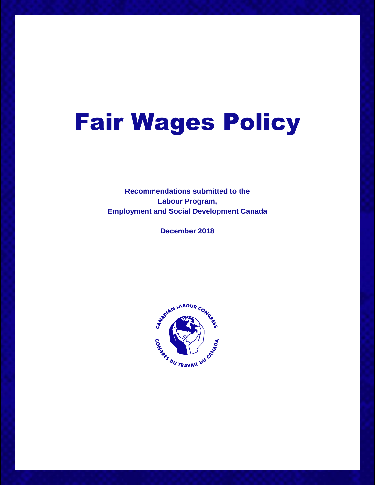# Fair Wages Policy

**Recommendations submitted to the Labour Program, Employment and Social Development Canada**

**December 2018**

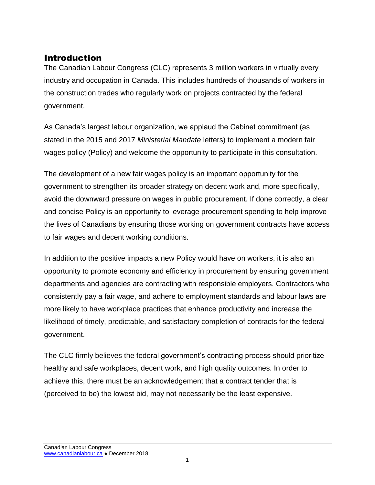# Introduction

The Canadian Labour Congress (CLC) represents 3 million workers in virtually every industry and occupation in Canada. This includes hundreds of thousands of workers in the construction trades who regularly work on projects contracted by the federal government.

As Canada's largest labour organization, we applaud the Cabinet commitment (as stated in the 2015 and 2017 *Ministerial Mandate* letters) to implement a modern fair wages policy (Policy) and welcome the opportunity to participate in this consultation.

The development of a new fair wages policy is an important opportunity for the government to strengthen its broader strategy on decent work and, more specifically, avoid the downward pressure on wages in public procurement. If done correctly, a clear and concise Policy is an opportunity to leverage procurement spending to help improve the lives of Canadians by ensuring those working on government contracts have access to fair wages and decent working conditions.

In addition to the positive impacts a new Policy would have on workers, it is also an opportunity to promote economy and efficiency in procurement by ensuring government departments and agencies are contracting with responsible employers. Contractors who consistently pay a fair wage, and adhere to employment standards and labour laws are more likely to have workplace practices that enhance productivity and increase the likelihood of timely, predictable, and satisfactory completion of contracts for the federal government.

The CLC firmly believes the federal government's contracting process should prioritize healthy and safe workplaces, decent work, and high quality outcomes. In order to achieve this, there must be an acknowledgement that a contract tender that is (perceived to be) the lowest bid, may not necessarily be the least expensive.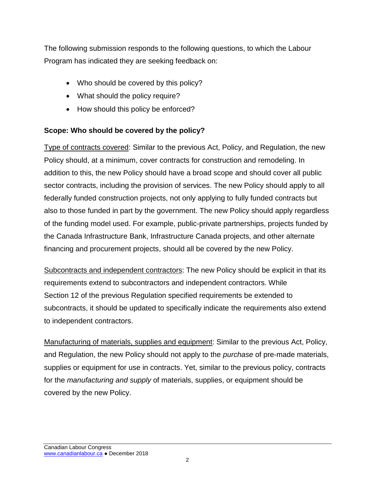The following submission responds to the following questions, to which the Labour Program has indicated they are seeking feedback on:

- Who should be covered by this policy?
- What should the policy require?
- How should this policy be enforced?

# **Scope: Who should be covered by the policy?**

Type of contracts covered: Similar to the previous Act, Policy, and Regulation, the new Policy should, at a minimum, cover contracts for construction and remodeling. In addition to this, the new Policy should have a broad scope and should cover all public sector contracts, including the provision of services. The new Policy should apply to all federally funded construction projects, not only applying to fully funded contracts but also to those funded in part by the government. The new Policy should apply regardless of the funding model used. For example, public-private partnerships, projects funded by the Canada Infrastructure Bank, Infrastructure Canada projects, and other alternate financing and procurement projects, should all be covered by the new Policy.

Subcontracts and independent contractors: The new Policy should be explicit in that its requirements extend to subcontractors and independent contractors. While Section 12 of the previous Regulation specified requirements be extended to subcontracts, it should be updated to specifically indicate the requirements also extend to independent contractors.

Manufacturing of materials, supplies and equipment: Similar to the previous Act, Policy, and Regulation, the new Policy should not apply to the *purchase* of pre-made materials, supplies or equipment for use in contracts. Yet, similar to the previous policy, contracts for the *manufacturing and supply* of materials, supplies, or equipment should be covered by the new Policy.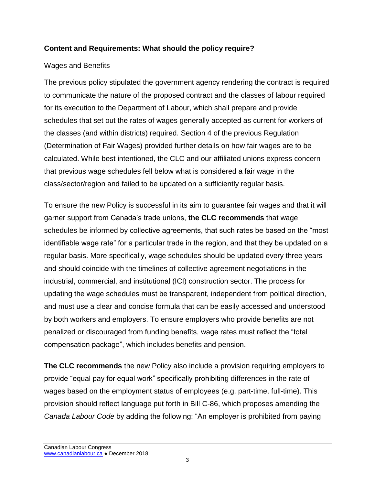# **Content and Requirements: What should the policy require?**

#### Wages and Benefits

The previous policy stipulated the government agency rendering the contract is required to communicate the nature of the proposed contract and the classes of labour required for its execution to the Department of Labour, which shall prepare and provide schedules that set out the rates of wages generally accepted as current for workers of the classes (and within districts) required. Section 4 of the previous Regulation (Determination of Fair Wages) provided further details on how fair wages are to be calculated. While best intentioned, the CLC and our affiliated unions express concern that previous wage schedules fell below what is considered a fair wage in the class/sector/region and failed to be updated on a sufficiently regular basis.

To ensure the new Policy is successful in its aim to guarantee fair wages and that it will garner support from Canada's trade unions, **the CLC recommends** that wage schedules be informed by collective agreements, that such rates be based on the "most identifiable wage rate" for a particular trade in the region, and that they be updated on a regular basis. More specifically, wage schedules should be updated every three years and should coincide with the timelines of collective agreement negotiations in the industrial, commercial, and institutional (ICI) construction sector. The process for updating the wage schedules must be transparent, independent from political direction, and must use a clear and concise formula that can be easily accessed and understood by both workers and employers. To ensure employers who provide benefits are not penalized or discouraged from funding benefits, wage rates must reflect the "total compensation package", which includes benefits and pension.

**The CLC recommends** the new Policy also include a provision requiring employers to provide "equal pay for equal work" specifically prohibiting differences in the rate of wages based on the employment status of employees (e.g. part-time, full-time). This provision should reflect language put forth in Bill C-86, which proposes amending the *Canada Labour Code* by adding the following: "An employer is prohibited from paying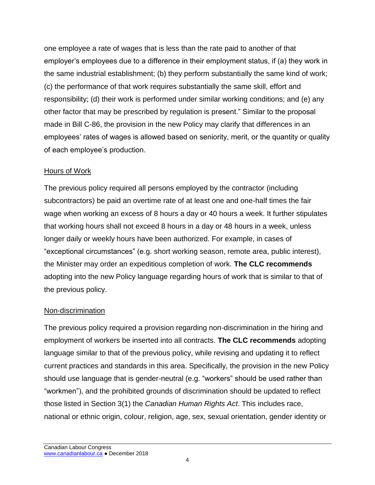one employee a rate of wages that is less than the rate paid to another of that employer's employees due to a difference in their employment status, if (a) they work in the same industrial establishment; (b) they perform substantially the same kind of work; (c) the performance of that work requires substantially the same skill, effort and responsibility; (d) their work is performed under similar working conditions; and (e) any other factor that may be prescribed by regulation is present." Similar to the proposal made in Bill C-86, the provision in the new Policy may clarify that differences in an employees' rates of wages is allowed based on seniority, merit, or the quantity or quality of each employee's production.

#### Hours of Work

The previous policy required all persons employed by the contractor (including subcontractors) be paid an overtime rate of at least one and one-half times the fair wage when working an excess of 8 hours a day or 40 hours a week. It further stipulates that working hours shall not exceed 8 hours in a day or 48 hours in a week, unless longer daily or weekly hours have been authorized. For example, in cases of "exceptional circumstances" (e.g. short working season, remote area, public interest), the Minister may order an expeditious completion of work. **The CLC recommends** adopting into the new Policy language regarding hours of work that is similar to that of the previous policy.

# Non-discrimination

The previous policy required a provision regarding non-discrimination in the hiring and employment of workers be inserted into all contracts. **The CLC recommends** adopting language similar to that of the previous policy, while revising and updating it to reflect current practices and standards in this area. Specifically, the provision in the new Policy should use language that is gender-neutral (e.g. "workers" should be used rather than "workmen"), and the prohibited grounds of discrimination should be updated to reflect those listed in Section 3(1) the *Canadian Human Rights Act*. This includes race, national or ethnic origin, colour, religion, age, sex, sexual orientation, gender identity or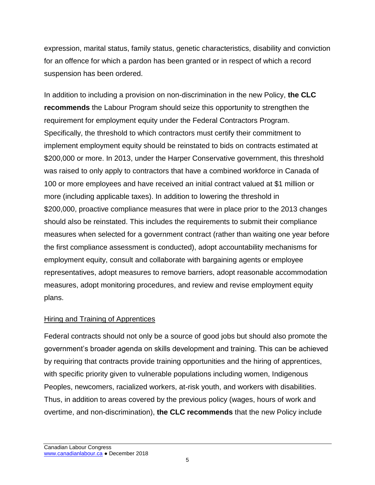expression, marital status, family status, genetic characteristics, disability and conviction for an offence for which a pardon has been granted or in respect of which a record suspension has been ordered.

In addition to including a provision on non-discrimination in the new Policy, **the CLC recommends** the Labour Program should seize this opportunity to strengthen the requirement for employment equity under the Federal Contractors Program. Specifically, the threshold to which contractors must certify their commitment to implement employment equity should be reinstated to bids on contracts estimated at \$200,000 or more. In 2013, under the Harper Conservative government, this threshold was raised to only apply to contractors that have a combined workforce in Canada of 100 or more employees and have received an initial contract valued at \$1 million or more (including applicable taxes). In addition to lowering the threshold in \$200,000, proactive compliance measures that were in place prior to the 2013 changes should also be reinstated. This includes the requirements to submit their compliance measures when selected for a government contract (rather than waiting one year before the first compliance assessment is conducted), adopt accountability mechanisms for employment equity, consult and collaborate with bargaining agents or employee representatives, adopt measures to remove barriers, adopt reasonable accommodation measures, adopt monitoring procedures, and review and revise employment equity plans.

# Hiring and Training of Apprentices

Federal contracts should not only be a source of good jobs but should also promote the government's broader agenda on skills development and training. This can be achieved by requiring that contracts provide training opportunities and the hiring of apprentices, with specific priority given to vulnerable populations including women, Indigenous Peoples, newcomers, racialized workers, at-risk youth, and workers with disabilities. Thus, in addition to areas covered by the previous policy (wages, hours of work and overtime, and non-discrimination), **the CLC recommends** that the new Policy include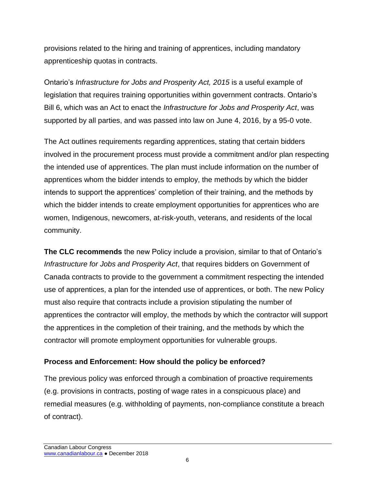provisions related to the hiring and training of apprentices, including mandatory apprenticeship quotas in contracts.

Ontario's *Infrastructure for Jobs and Prosperity Act, 2015* is a useful example of legislation that requires training opportunities within government contracts. Ontario's Bill 6, which was an Act to enact the *Infrastructure for Jobs and Prosperity Act*, was supported by all parties, and was passed into law on June 4, 2016, by a 95-0 vote.

The Act outlines requirements regarding apprentices, stating that certain bidders involved in the procurement process must provide a commitment and/or plan respecting the intended use of apprentices. The plan must include information on the number of apprentices whom the bidder intends to employ, the methods by which the bidder intends to support the apprentices' completion of their training, and the methods by which the bidder intends to create employment opportunities for apprentices who are women, Indigenous, newcomers, at-risk-youth, veterans, and residents of the local community.

**The CLC recommends** the new Policy include a provision, similar to that of Ontario's *Infrastructure for Jobs and Prosperity Act*, that requires bidders on Government of Canada contracts to provide to the government a commitment respecting the intended use of apprentices, a plan for the intended use of apprentices, or both. The new Policy must also require that contracts include a provision stipulating the number of apprentices the contractor will employ, the methods by which the contractor will support the apprentices in the completion of their training, and the methods by which the contractor will promote employment opportunities for vulnerable groups.

# **Process and Enforcement: How should the policy be enforced?**

The previous policy was enforced through a combination of proactive requirements (e.g. provisions in contracts, posting of wage rates in a conspicuous place) and remedial measures (e.g. withholding of payments, non-compliance constitute a breach of contract).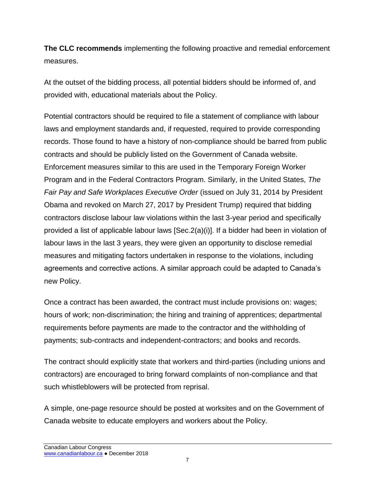**The CLC recommends** implementing the following proactive and remedial enforcement measures.

At the outset of the bidding process, all potential bidders should be informed of, and provided with, educational materials about the Policy.

Potential contractors should be required to file a statement of compliance with labour laws and employment standards and, if requested, required to provide corresponding records. Those found to have a history of non-compliance should be barred from public contracts and should be publicly listed on the Government of Canada website. Enforcement measures similar to this are used in the Temporary Foreign Worker Program and in the Federal Contractors Program. Similarly, in the United States, *The Fair Pay and Safe Workplaces Executive Order* (issued on July 31, 2014 by President Obama and revoked on March 27, 2017 by President Trump) required that bidding contractors disclose labour law violations within the last 3-year period and specifically provided a list of applicable labour laws [Sec.2(a)(i)]. If a bidder had been in violation of labour laws in the last 3 years, they were given an opportunity to disclose remedial measures and mitigating factors undertaken in response to the violations, including agreements and corrective actions. A similar approach could be adapted to Canada's new Policy.

Once a contract has been awarded, the contract must include provisions on: wages; hours of work; non-discrimination; the hiring and training of apprentices; departmental requirements before payments are made to the contractor and the withholding of payments; sub-contracts and independent-contractors; and books and records.

The contract should explicitly state that workers and third-parties (including unions and contractors) are encouraged to bring forward complaints of non-compliance and that such whistleblowers will be protected from reprisal.

A simple, one-page resource should be posted at worksites and on the Government of Canada website to educate employers and workers about the Policy.